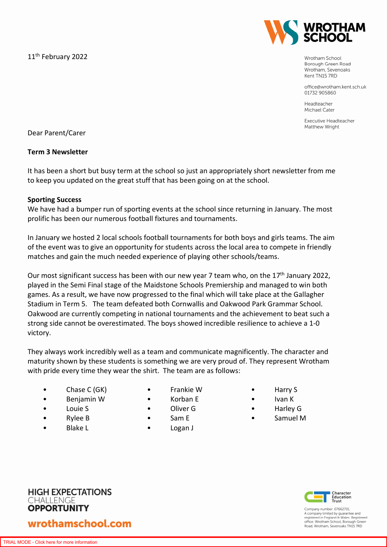11<sup>th</sup> February 2022



Wrotham School Borough Green Road Wrotham, Sevenoaks Kent TN15 7RD

office@wrotham.kent.sch.uk 01732 905860

Headteacher Michael Cater

Executive Headteacher Matthew Wright

Dear Parent/Carer

### **Term 3 Newsletter**

It has been a short but busy term at the school so just an appropriately short newsletter from me to keep you updated on the great stuff that has been going on at the school.

### **Sporting Success**

We have had a bumper run of sporting events at the school since returning in January. The most prolific has been our numerous football fixtures and tournaments.

In January we hosted 2 local schools football tournaments for both boys and girls teams. The aim of the event was to give an opportunity for students across the local area to compete in friendly matches and gain the much needed experience of playing other schools/teams.

Our most significant success has been with our new year 7 team who, on the 17<sup>th</sup> January 2022, played in the Semi Final stage of the Maidstone Schools Premiership and managed to win both games. As a result, we have now progressed to the final which will take place at the Gallagher Stadium in Term 5. The team defeated both Cornwallis and Oakwood Park Grammar School. Oakwood are currently competing in national tournaments and the achievement to beat such a strong side cannot be overestimated. The boys showed incredible resilience to achieve a 1-0 victory.

They always work incredibly well as a team and communicate magnificently. The character and maturity shown by these students is something we are very proud of. They represent Wrotham with pride every time they wear the shirt. The team are as follows:

- Chase C (GK)
- Benjamin W
- Louie S
- Rylee B
- Blake L
- Frankie W
- Korban E
- Oliver G
- Sam E
- Logan J
- Harry S
- Ivan K
- Harley G
- Samuel M





Company number: 07662701 A company limited by guarantee and<br>registered in England & Wales. Registered<br>office: Wrotham School, Borough Green Road Wrotham Sevenoaks TN15 7RD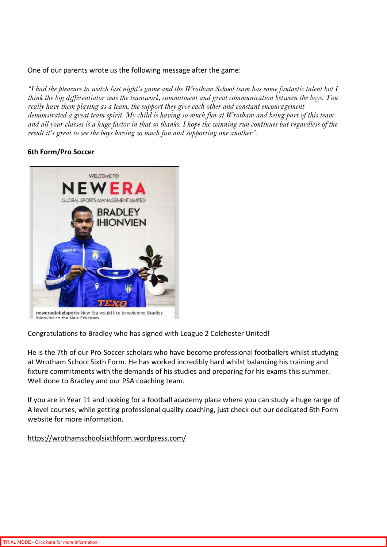## One of our parents wrote us the following message after the game:

*"I had the pleasure to watch last night's game and the Wrotham School team has some fantastic talent but I think the big differentiator was the teamwork, commitment and great communication between the boys. You really have them playing as a team, the support they give each other and constant encouragement demonstrated a great team spirit. My child is having so much fun at Wrotham and being part of this team and all your classes is a huge factor in that so thanks. I hope the winning run continues but regardless of the result it's great to see the boys having so much fun and supporting one another".* 

# **6th Form/Pro Soccer**



Congratulations to Bradley who has signed with League 2 Colchester United!

He is the 7th of our Pro-Soccer scholars who have become professional footballers whilst studying at Wrotham School Sixth Form. He has worked incredibly hard whilst balancing his training and fixture commitments with the demands of his studies and preparing for his exams this summer. Well done to Bradley and our PSA coaching team.

If you are in Year 11 and looking for a football academy place where you can study a huge range of A level courses, while getting professional quality coaching, just check out our dedicated 6th Form website for more information.

https://wrothamschoolsixthform.wordpress.com/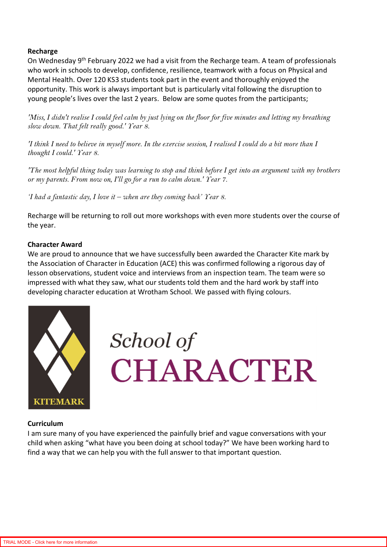### **Recharge**

On Wednesday 9th February 2022 we had a visit from the Recharge team. A team of professionals who work in schools to develop, confidence, resilience, teamwork with a focus on Physical and Mental Health. Over 120 KS3 students took part in the event and thoroughly enjoyed the opportunity. This work is always important but is particularly vital following the disruption to young people's lives over the last 2 years. Below are some quotes from the participants;

*'Miss, I didn't realise I could feel calm by just lying on the floor for five minutes and letting my breathing slow down. That felt really good.' Year 8.* 

*'I think I need to believe in myself more. In the exercise session, I realised I could do a bit more than I thought I could.' Year 8.* 

*'The most helpful thing today was learning to stop and think before I get into an argument with my brothers or my parents. From now on, I'll go for a run to calm down.' Year 7.* 

*'I had a fantastic day, I love it – when are they coming back' Year 8.* 

Recharge will be returning to roll out more workshops with even more students over the course of the year.

### **Character Award**

We are proud to announce that we have successfully been awarded the Character Kite mark by the Association of Character in Education (ACE) this was confirmed following a rigorous day of lesson observations, student voice and interviews from an inspection team. The team were so impressed with what they saw, what our students told them and the hard work by staff into developing character education at Wrotham School. We passed with flying colours.



School of CHARACTER

#### **Curriculum**

I am sure many of you have experienced the painfully brief and vague conversations with your child when asking "what have you been doing at school today?" We have been working hard to find a way that we can help you with the full answer to that important question.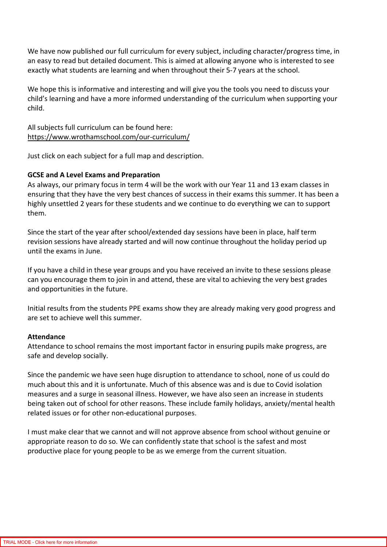We have now published our full curriculum for every subject, including character/progress time, in an easy to read but detailed document. This is aimed at allowing anyone who is interested to see exactly what students are learning and when throughout their 5-7 years at the school.

We hope this is informative and interesting and will give you the tools you need to discuss your child's learning and have a more informed understanding of the curriculum when supporting your child.

All subjects full curriculum can be found here: https://www.wrothamschool.com/our-curriculum/

Just click on each subject for a full map and description.

# **GCSE and A Level Exams and Preparation**

As always, our primary focus in term 4 will be the work with our Year 11 and 13 exam classes in ensuring that they have the very best chances of success in their exams this summer. It has been a highly unsettled 2 years for these students and we continue to do everything we can to support them.

Since the start of the year after school/extended day sessions have been in place, half term revision sessions have already started and will now continue throughout the holiday period up until the exams in June.

If you have a child in these year groups and you have received an invite to these sessions please can you encourage them to join in and attend, these are vital to achieving the very best grades and opportunities in the future.

Initial results from the students PPE exams show they are already making very good progress and are set to achieve well this summer.

### **Attendance**

Attendance to school remains the most important factor in ensuring pupils make progress, are safe and develop socially.

Since the pandemic we have seen huge disruption to attendance to school, none of us could do much about this and it is unfortunate. Much of this absence was and is due to Covid isolation measures and a surge in seasonal illness. However, we have also seen an increase in students being taken out of school for other reasons. These include family holidays, anxiety/mental health related issues or for other non-educational purposes.

I must make clear that we cannot and will not approve absence from school without genuine or appropriate reason to do so. We can confidently state that school is the safest and most productive place for young people to be as we emerge from the current situation.